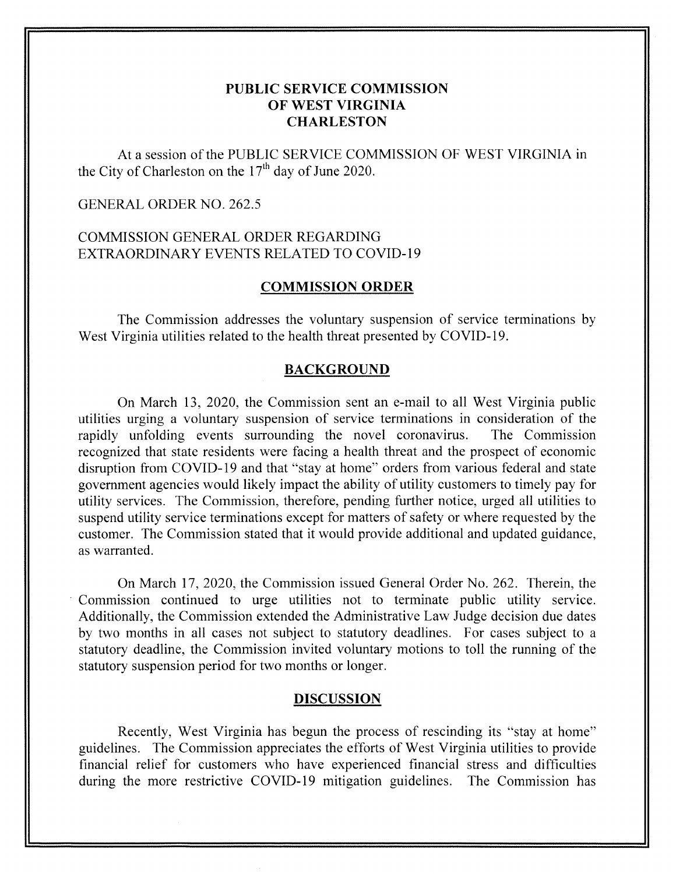## **PUBLIC SERVICE COMMISSION OF WEST VIRGINIA CHARLESTON**

At a session of the PUBLIC SERVICE COMMISSION OF WEST VIRGINIA in the City of Charleston on the  $17<sup>th</sup>$  day of June 2020.

### GENERAL ORDER NO. 262.5

# COMMISSION GENERAL ORDER REGARDING EXTRAORDINARY EVENTS RELATED TO COVID-19

#### **COMMISSION ORDER**

The Commission addresses the voluntary suspension of service terminations by West Virginia utilities related to the health threat presented by COVID-19.

#### **BACKGROUND**

On March 13, 2020, the Commission sent an e-mail to all West Virginia public utilities urging a voluntary suspension of service terminations in consideration of the rapidly unfolding events surrounding the novel coronavirus. The Commission recognized that state residents were facing a health threat and the prospect of economic disruption from COVID-19 and that "stay at home" orders from various federal and state government agencies would likely impact the ability of utility customers to timely pay for utility services. The Commission, therefore, pending further notice, urged all utilities to suspend utility service terminations except for matters of safety or where requested by the customer. The Commission stated that it would provide additional and updated guidance, as warranted.

On March 17, 2020, the Commission issued General Order No. 262. Therein, the Commission continued to urge utilities not to terminate public utility service. Additionally, the Commission extended the Administrative Law Judge decision due dates by two months in all cases not subject to statutory deadlines. For cases subject to a statutory deadline, the Commission invited voluntary motions to toll the running of the statutory suspension period for two months or longer.

#### **DISCUSSION**

Recently, West Virginia has begun the process of rescinding its "stay at home" guidelines. The Commission appreciates the efforts of West Virginia utilities to provide financial relief for customers who have experienced financial stress and difficulties during the more restrictive COVID-19 mitigation guidelines. The Commission has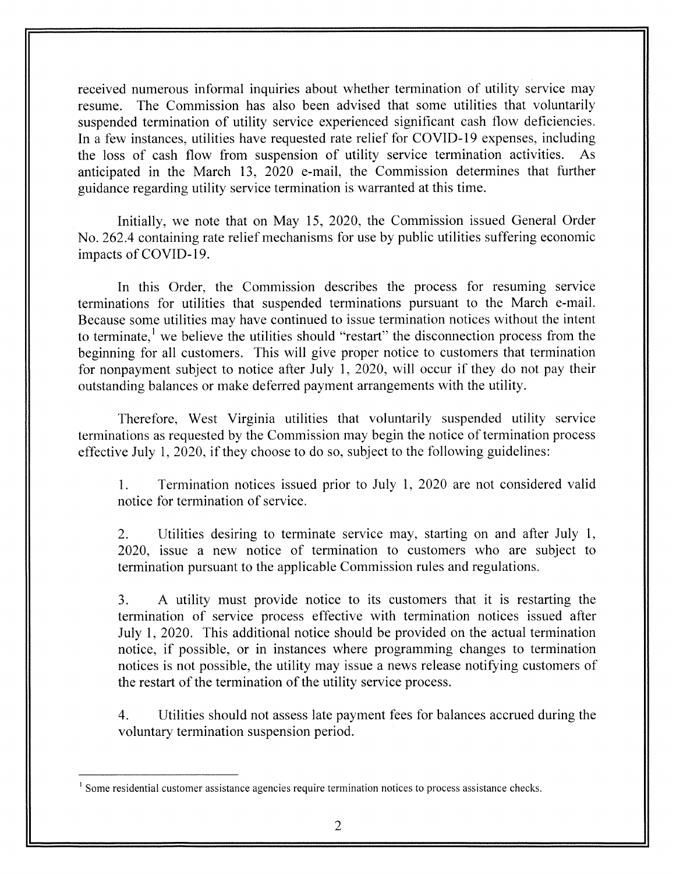received numerous informal inquiries about whether termination of utility service may resume. The Commission has also been advised that some utilities that voluntarily suspended termination of utility service experienced significant cash flow deficiencies. In a few instances, utilities have requested rate relief for COVID-19 expenses, including the loss of cash flow from suspension of utility service termination activities. anticipated in the March 13, 2020 e-mail, the Commission determines that further guidance regarding utility service termination is warranted at this time.

Initially, we note that on May 15, 2020, the Commission issued General Order No. 262.4 containing rate relief mechanisms for use by public utilities suffering economic impacts of COVID-19.

In this Order, the Commission describes the process for resuming service terminations for utilities that suspended terminations pursuant to the March e-mail. Because some utilities may have continued to issue termination notices without the intent to terminate,' we believe the utilities should "restart" the disconnection process from the beginning for all customers. This will give proper notice to customers that termination for nonpayment subject to notice after July 1, 2020, will occur if they do not pay their outstanding balances or make deferred payment arrangements with the utility.

'Therefore, West Virginia utilities that voluntarily suspended utility service terminations as requested by the Commission may begin the notice of termination process effective July 1, 2020, if they choose to do so, subject to the following guidelines:

1. notice for termination of service. Termination notices issued prior to July 1, 2020 are not considered valid

2. Utilities desiring to terminate service may, starting on and after July 1, 2020, issue a new notice of termination to customers who are subject to termination pursuant to the applicable Commission rules and regulations.

3. **A** utility must provide notice to its customers that it is restarting the termination of service process effective with termination notices issued after July 1, 2020. This additional notice should be provided on the actual termination notice, if possible, or in instances where programming changes to termination notices is not possible, the utility may issue a news release notifying customers of the restart of the termination of the utility service process.

4. voluntary termination suspension period. Utilities should not assess late payment fees for balances accrued during the

 $<sup>1</sup>$  Some residential customer assistance agencies require termination notices to process assistance checks.</sup>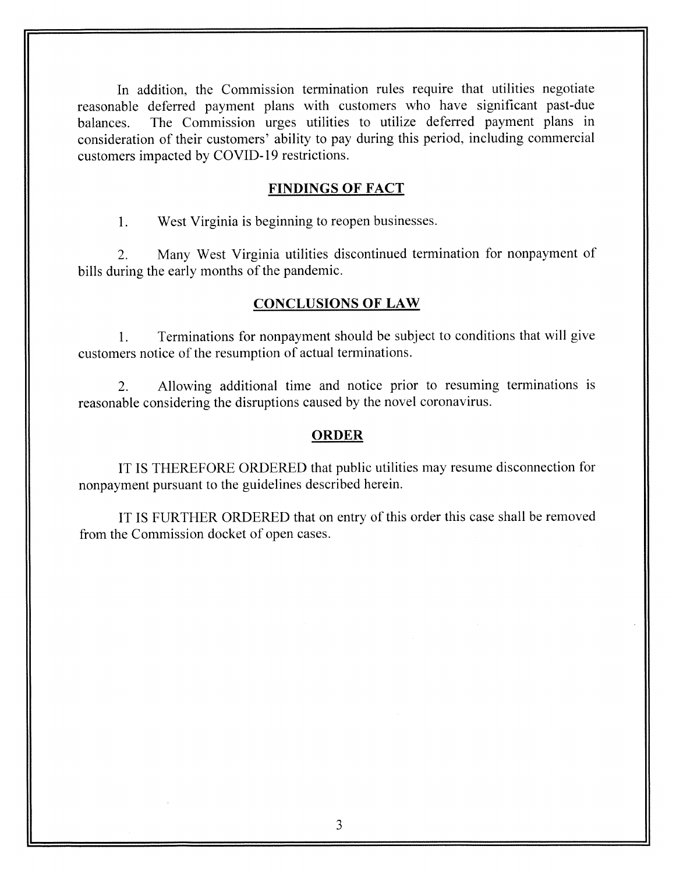In addition, the Commission termination rules require that utilities negotiate reasonable deferred payment plans with customers who have significant past-due balances. The Commission urges utilities to utilize deferred payment plans in consideration of their customers' ability to pay during this period, including commercial customers impacted by COVID- 19 restrictions.

#### **FINDINGS OF FACT**

1. West Virginia is beginning to reopen businesses.

2. Many West Virginia utilities discontinued termination for nonpayment of bills during the early months of the pandemic.

### **CONCLUSIONS OF LAW**

1. Terminations for nonpayment should be subject to conditions that will give customers notice of the resumption of actual terminations.

2. Allowing additional time and notice prior to resuming terminations is reasonable considering the disruptions caused by the novel coronavirus.

#### **ORDER**

IT IS THEREFORE ORDERED that public utilities may resume disconnection for nonpayment pursuant to the guidelines described herein.

IT IS FURTHER ORDERED that on entry of this order this case shall be removed from the Commission docket of open cases.